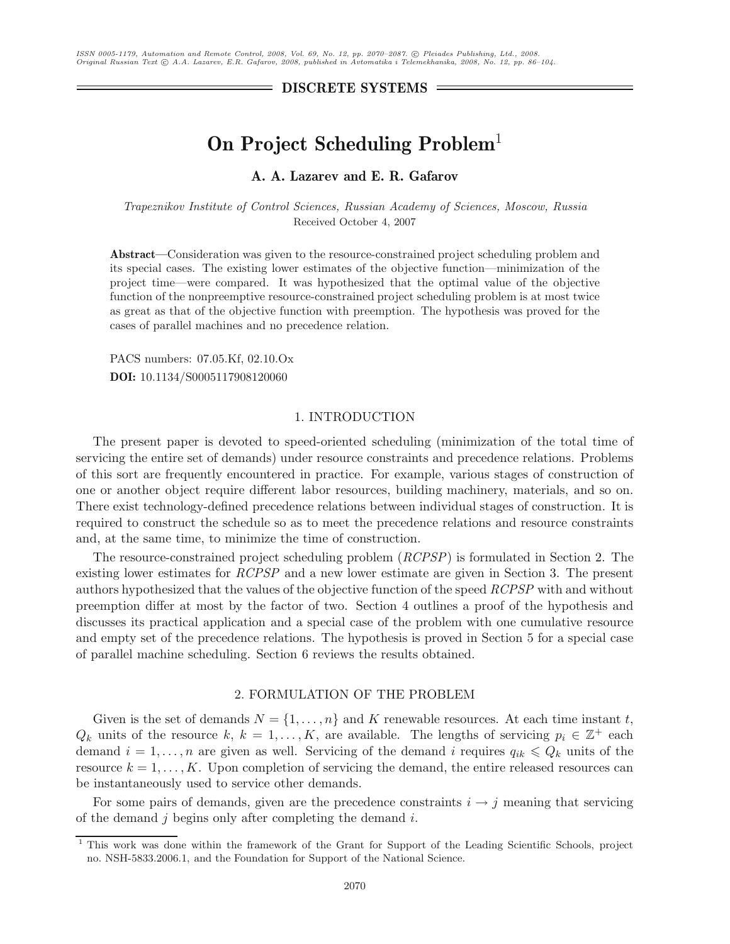**DISCRETE SYSTEMS**

# **On Project Scheduling Problem**<sup>1</sup>

# **A. A. Lazarev and E. R. Gafarov**

*Trapeznikov Institute of Control Sciences, Russian Academy of Sciences, Moscow, Russia* Received October 4, 2007

**Abstract—**Consideration was given to the resource-constrained project scheduling problem and its special cases. The existing lower estimates of the objective function—minimization of the project time—were compared. It was hypothesized that the optimal value of the objective function of the nonpreemptive resource-constrained project scheduling problem is at most twice as great as that of the objective function with preemption. The hypothesis was proved for the cases of parallel machines and no precedence relation.

PACS numbers: 07.05.Kf, 02.10.Ox **DOI:** 10.1134/S0005117908120060

#### 1. INTRODUCTION

The present paper is devoted to speed-oriented scheduling (minimization of the total time of servicing the entire set of demands) under resource constraints and precedence relations. Problems of this sort are frequently encountered in practice. For example, various stages of construction of one or another object require different labor resources, building machinery, materials, and so on. There exist technology-defined precedence relations between individual stages of construction. It is required to construct the schedule so as to meet the precedence relations and resource constraints and, at the same time, to minimize the time of construction.

The resource-constrained project scheduling problem (*RCPSP*) is formulated in Section 2. The existing lower estimates for *RCPSP* and a new lower estimate are given in Section 3. The present authors hypothesized that the values of the objective function of the speed *RCPSP* with and without preemption differ at most by the factor of two. Section 4 outlines a proof of the hypothesis and discusses its practical application and a special case of the problem with one cumulative resource and empty set of the precedence relations. The hypothesis is proved in Section 5 for a special case of parallel machine scheduling. Section 6 reviews the results obtained.

#### 2. FORMULATION OF THE PROBLEM

Given is the set of demands  $N = \{1, \ldots, n\}$  and K renewable resources. At each time instant t,  $Q_k$  units of the resource k,  $k = 1, ..., K$ , are available. The lengths of servicing  $p_i \in \mathbb{Z}^+$  each demand  $i = 1, \ldots, n$  are given as well. Servicing of the demand i requires  $q_{ik} \leq Q_k$  units of the resource  $k = 1, \ldots, K$ . Upon completion of servicing the demand, the entire released resources can be instantaneously used to service other demands.

For some pairs of demands, given are the precedence constraints  $i \rightarrow j$  meaning that servicing of the demand  $j$  begins only after completing the demand  $i$ .

<sup>&</sup>lt;sup>1</sup> This work was done within the framework of the Grant for Support of the Leading Scientific Schools, project no. NSH-5833.2006.1, and the Foundation for Support of the National Science.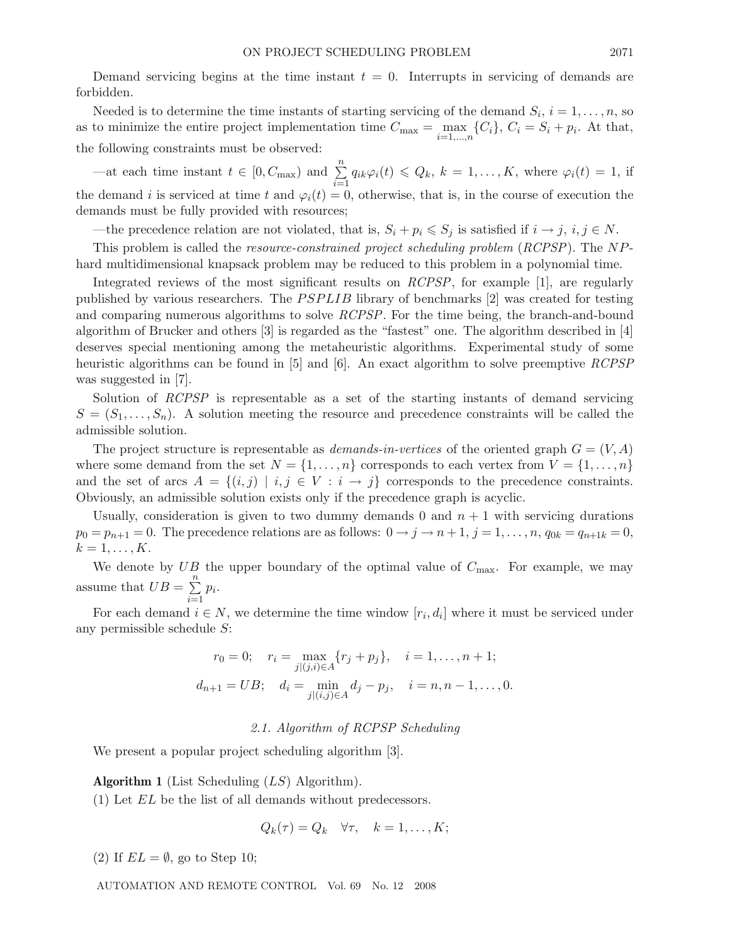Demand servicing begins at the time instant  $t = 0$ . Interrupts in servicing of demands are forbidden.

Needed is to determine the time instants of starting servicing of the demand  $S_i$ ,  $i = 1, \ldots, n$ , so as to minimize the entire project implementation time  $C_{\text{max}} = \max_{i=1,\dots,n} \{C_i\}$ ,  $C_i = S_i + p_i$ . At that, the following constraints must be observed:

—at each time instant  $t \in [0, C_{\text{max}})$  and  $\sum_{n=1}^{\infty}$  $\sum_{i=1}^{n} q_{ik}\varphi_i(t) \leq Q_k, k = 1,\ldots,K$ , where  $\varphi_i(t) = 1$ , if the demand i is serviced at time t and  $\varphi_i(t) = 0$ , otherwise, that is, in the course of execution the demands must be fully provided with resources;

—the precedence relation are not violated, that is,  $S_i + p_i \leqslant S_j$  is satisfied if  $i \to j$ ,  $i, j \in N$ .

This problem is called the *resource-constrained project scheduling problem* (*RCPSP*). The NPhard multidimensional knapsack problem may be reduced to this problem in a polynomial time.

Integrated reviews of the most significant results on *RCPSP*, for example [1], are regularly published by various researchers. The  $PSPLIB$  library of benchmarks [2] was created for testing and comparing numerous algorithms to solve *RCPSP*. For the time being, the branch-and-bound algorithm of Brucker and others [3] is regarded as the "fastest" one. The algorithm described in [4] deserves special mentioning among the metaheuristic algorithms. Experimental study of some heuristic algorithms can be found in [5] and [6]. An exact algorithm to solve preemptive *RCPSP* was suggested in [7].

Solution of *RCPSP* is representable as a set of the starting instants of demand servicing  $S = (S_1, \ldots, S_n)$ . A solution meeting the resource and precedence constraints will be called the admissible solution.

The project structure is representable as *demands-in-vertices* of the oriented graph  $G = (V, A)$ where some demand from the set  $N = \{1, \ldots, n\}$  corresponds to each vertex from  $V = \{1, \ldots, n\}$ and the set of arcs  $A = \{(i, j) | i, j \in V : i \rightarrow j\}$  corresponds to the precedence constraints. Obviously, an admissible solution exists only if the precedence graph is acyclic.

Usually, consideration is given to two dummy demands 0 and  $n + 1$  with servicing durations  $p_0 = p_{n+1} = 0$ . The precedence relations are as follows:  $0 \rightarrow j \rightarrow n+1$ ,  $j = 1, \ldots, n$ ,  $q_{0k} = q_{n+1k} = 0$ ,  $k=1,\ldots,K.$ 

We denote by  $UB$  the upper boundary of the optimal value of  $C_{\text{max}}$ . For example, we may assume that  $UB = \sum_{n=1}^{\infty}$  $\sum_{i=1}^n p_i$ .

For each demand  $i \in N$ , we determine the time window  $[r_i, d_i]$  where it must be serviced under any permissible schedule S:

$$
r_0 = 0; \quad r_i = \max_{j|(j,i)\in A} \{r_j + p_j\}, \quad i = 1, \dots, n+1; d_{n+1} = UB; \quad d_i = \min_{j|(i,j)\in A} d_j - p_j, \quad i = n, n-1, \dots, 0.
$$

## *2.1. Algorithm of RCPSP Scheduling*

We present a popular project scheduling algorithm [3].

**Algorithm 1** (List Scheduling (LS) Algorithm).

(1) Let EL be the list of all demands without predecessors.

$$
Q_k(\tau) = Q_k \quad \forall \tau, \quad k = 1, \dots, K;
$$

(2) If  $EL = \emptyset$ , go to Step 10;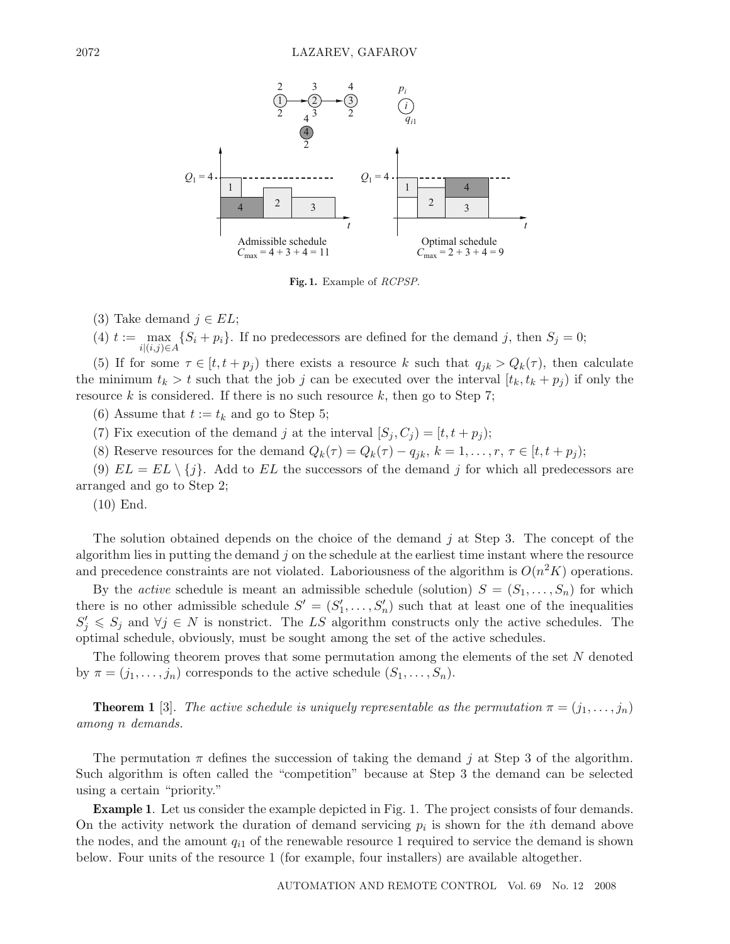

**Fig. 1.** Example of *RCPSP*.

(3) Take demand  $j \in EL$ ;

(4)  $t := \max$  $i|(i,j) \in A$  $\{S_i + p_i\}$ . If no predecessors are defined for the demand j, then  $S_j = 0$ ;

(5) If for some  $\tau \in [t, t + p_j)$  there exists a resource k such that  $q_{jk} > Q_k(\tau)$ , then calculate the minimum  $t_k > t$  such that the job j can be executed over the interval  $[t_k, t_k + p_j]$  if only the resource  $k$  is considered. If there is no such resource  $k$ , then go to Step 7;

(6) Assume that  $t := t_k$  and go to Step 5;

(7) Fix execution of the demand j at the interval  $[S_j, C_j] = [t, t + p_j);$ 

(8) Reserve resources for the demand  $Q_k(\tau) = Q_k(\tau) - q_{jk}, k = 1, \ldots, r, \tau \in [t, t + p_j);$ 

(9)  $EL = EL \setminus \{j\}$ . Add to  $EL$  the successors of the demand j for which all predecessors are arranged and go to Step 2;

(10) End.

The solution obtained depends on the choice of the demand j at Step 3. The concept of the algorithm lies in putting the demand  $j$  on the schedule at the earliest time instant where the resource and precedence constraints are not violated. Laboriousness of the algorithm is  $O(n^2K)$  operations.

By the *active* schedule is meant an admissible schedule (solution)  $S = (S_1, \ldots, S_n)$  for which there is no other admissible schedule  $S' = (S'_1, \ldots, S'_n)$  such that at least one of the inequalities  $S'_j \leqslant S_j$  and  $\forall j \in N$  is nonstrict. The LS algorithm constructs only the active schedules. The optimal schedule, obviously, must be sought among the set of the active schedules.

The following theorem proves that some permutation among the elements of the set N denoted by  $\pi = (j_1, \ldots, j_n)$  corresponds to the active schedule  $(S_1, \ldots, S_n)$ .

**Theorem 1** [3]. *The active schedule is uniquely representable as the permutation*  $\pi = (j_1, \ldots, j_n)$ *among* n *demands.*

The permutation  $\pi$  defines the succession of taking the demand j at Step 3 of the algorithm. Such algorithm is often called the "competition" because at Step 3 the demand can be selected using a certain "priority."

**Example 1**. Let us consider the example depicted in Fig. 1. The project consists of four demands. On the activity network the duration of demand servicing  $p_i$  is shown for the *i*th demand above the nodes, and the amount  $q_{i1}$  of the renewable resource 1 required to service the demand is shown below. Four units of the resource 1 (for example, four installers) are available altogether.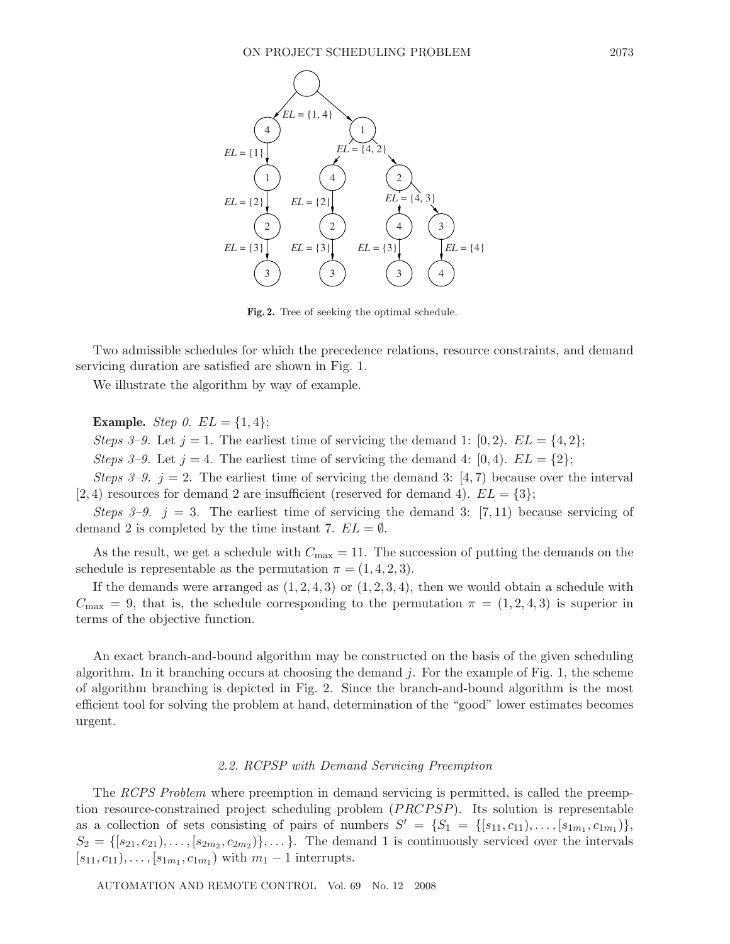

**Fig. 2.** Tree of seeking the optimal schedule.

Two admissible schedules for which the precedence relations, resource constraints, and demand servicing duration are satisfied are shown in Fig. 1.

We illustrate the algorithm by way of example.

**Example.** *Step 0.*  $EL = \{1, 4\};$ 

*Steps 3–9.* Let  $j = 1$ . The earliest time of servicing the demand 1: [0, 2].  $EL = \{4, 2\}$ ;

*Steps 3–9.* Let  $j = 4$ . The earliest time of servicing the demand 4: [0, 4].  $EL = \{2\}$ ;

*Steps 3–9.*  $j = 2$ . The earliest time of servicing the demand 3: [4,7] because over the interval [2, 4) resources for demand 2 are insufficient (reserved for demand 4).  $EL = \{3\};$ 

*Steps 3–9.*  $i = 3$ . The earliest time of servicing the demand 3: [7, 11] because servicing of demand 2 is completed by the time instant 7.  $EL = \emptyset$ .

As the result, we get a schedule with  $C_{\text{max}} = 11$ . The succession of putting the demands on the schedule is representable as the permutation  $\pi = (1, 4, 2, 3)$ .

If the demands were arranged as  $(1, 2, 4, 3)$  or  $(1, 2, 3, 4)$ , then we would obtain a schedule with  $C_{\text{max}} = 9$ , that is, the schedule corresponding to the permutation  $\pi = (1, 2, 4, 3)$  is superior in terms of the objective function.

An exact branch-and-bound algorithm may be constructed on the basis of the given scheduling algorithm. In it branching occurs at choosing the demand  $j$ . For the example of Fig. 1, the scheme of algorithm branching is depicted in Fig. 2. Since the branch-and-bound algorithm is the most efficient tool for solving the problem at hand, determination of the "good" lower estimates becomes urgent.

#### *2.2. RCPSP with Demand Servicing Preemption*

The *RCPS Problem* where preemption in demand servicing is permitted, is called the preemption resource-constrained project scheduling problem  $(PRCPSP)$ . Its solution is representable as a collection of sets consisting of pairs of numbers  $S' = \{S_1 = \{[s_{11}, c_{11}), \ldots, [s_{1m_1}, c_{1m_1}]\},\}$  $S_2 = \{ [s_{21}, c_{21}), \ldots, [s_{2m_2}, c_{2m_2}) \}, \ldots \}.$  The demand 1 is continuously serviced over the intervals  $[s_{11}, c_{11}), \ldots, [s_{1m_1}, c_{1m_1})$  with  $m_1 - 1$  interrupts.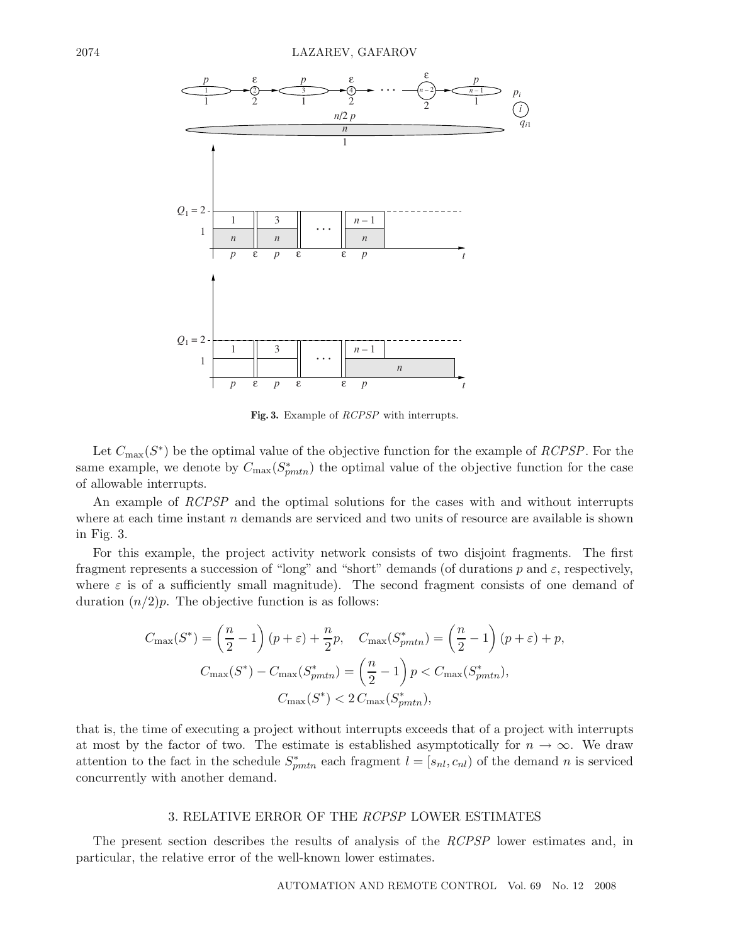

**Fig. 3.** Example of *RCPSP* with interrupts.

Let  $C_{\text{max}}(S^*)$  be the optimal value of the objective function for the example of *RCPSP*. For the same example, we denote by  $C_{\text{max}}(S_{pmtn}^*)$  the optimal value of the objective function for the case of allowable interrupts.

An example of *RCPSP* and the optimal solutions for the cases with and without interrupts where at each time instant  $n$  demands are serviced and two units of resource are available is shown in Fig. 3.

For this example, the project activity network consists of two disjoint fragments. The first fragment represents a succession of "long" and "short" demands (of durations p and  $\varepsilon$ , respectively, where  $\varepsilon$  is of a sufficiently small magnitude). The second fragment consists of one demand of duration  $(n/2)p$ . The objective function is as follows:

$$
C_{\max}(S^*) = \left(\frac{n}{2} - 1\right)(p + \varepsilon) + \frac{n}{2}p, \quad C_{\max}(S^*_{pmtn}) = \left(\frac{n}{2} - 1\right)(p + \varepsilon) + p,
$$

$$
C_{\max}(S^*) - C_{\max}(S^*_{pmtn}) = \left(\frac{n}{2} - 1\right)p < C_{\max}(S^*_{pmtn}),
$$

$$
C_{\max}(S^*) < 2C_{\max}(S^*_{pmtn}),
$$

that is, the time of executing a project without interrupts exceeds that of a project with interrupts at most by the factor of two. The estimate is established asymptotically for  $n \to \infty$ . We draw attention to the fact in the schedule  $S^*_{pmtn}$  each fragment  $l = [s_{nl}, c_{nl})$  of the demand n is serviced concurrently with another demand.

#### 3. RELATIVE ERROR OF THE *RCPSP* LOWER ESTIMATES

The present section describes the results of analysis of the *RCPSP* lower estimates and, in particular, the relative error of the well-known lower estimates.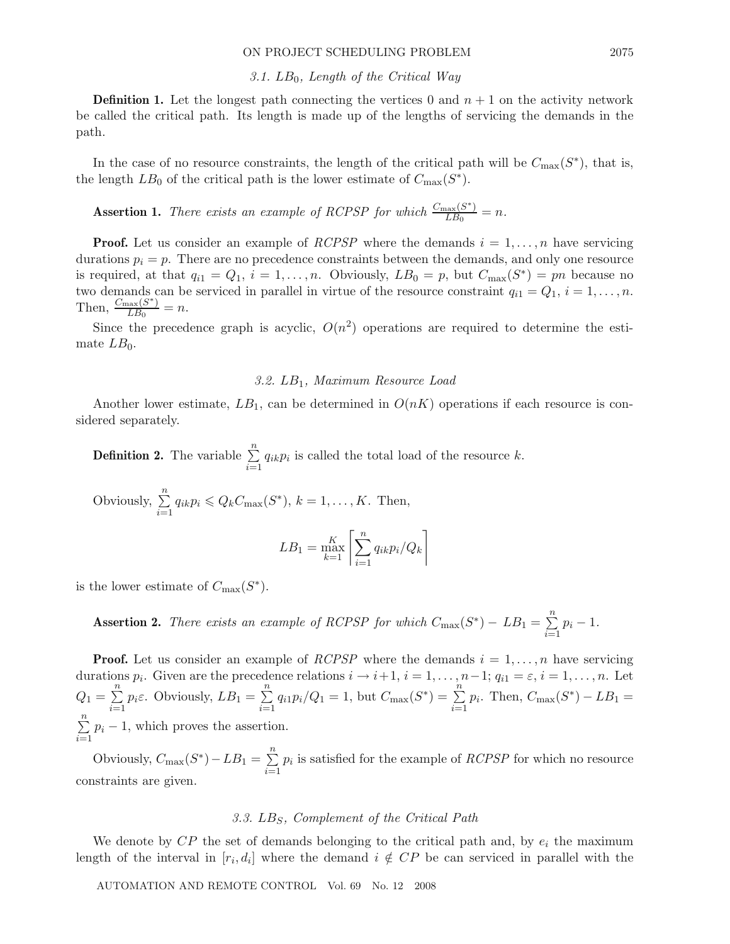#### *3.1.* LB0*, Length of the Critical Way*

**Definition 1.** Let the longest path connecting the vertices 0 and  $n + 1$  on the activity network be called the critical path. Its length is made up of the lengths of servicing the demands in the path.

In the case of no resource constraints, the length of the critical path will be  $C_{\text{max}}(S^*)$ , that is, the length  $LB_0$  of the critical path is the lower estimate of  $C_{\text{max}}(S^*)$ .

**Assertion 1.** *There exists an example of RCPSP for which*  $\frac{C_{\text{max}}(S^*)}{LB_0} = n$ .

**Proof.** Let us consider an example of *RCPSP* where the demands  $i = 1, \ldots, n$  have servicing durations  $p_i = p$ . There are no precedence constraints between the demands, and only one resource is required, at that  $q_{i1} = Q_1$ ,  $i = 1, \ldots, n$ . Obviously,  $LB_0 = p$ , but  $C_{\text{max}}(S^*) = pn$  because no two demands can be serviced in parallel in virtue of the resource constraint  $q_{i1} = Q_1$ ,  $i = 1, \ldots, n$ . Then,  $\frac{C_{\text{max}}(S^*)}{LB_0} = n$ .

Since the precedence graph is acyclic,  $O(n^2)$  operations are required to determine the estimate  $LB_0$ .

#### *3.2.* LB1*, Maximum Resource Load*

Another lower estimate,  $LB_1$ , can be determined in  $O(nK)$  operations if each resource is considered separately.

**Definition 2.** The variable  $\sum_{n=1}^{\infty}$  $\sum_{i=1}^{n} q_{ik} p_i$  is called the total load of the resource k.

Obviously,  $\sum_{n=1}^{\infty}$  $\sum_{i=1}^{n} q_{ik} p_i \leq Q_k C_{\max}(S^*), k = 1, ..., K.$  Then,

$$
LB_1 = \max_{k=1}^{K} \left[ \sum_{i=1}^{n} q_{ik} p_i / Q_k \right]
$$

is the lower estimate of  $C_{\text{max}}(S^*)$ .

**Assertion 2.** *There exists an example of RCPSP for which*  $C_{\text{max}}(S^*) - LB_1 = \sum_{n=1}^{n}$  $\sum_{i=1}^{n} p_i - 1.$ 

**Proof.** Let us consider an example of *RCPSP* where the demands  $i = 1, \ldots, n$  have servicing durations  $p_i$ . Given are the precedence relations  $i \to i+1$ ,  $i = 1, \ldots, n-1$ ;  $q_{i1} = \varepsilon$ ,  $i = 1, \ldots, n$ . Let  $Q_1 = \sum^{n}$  $\sum_{i=1}^{n} p_i \varepsilon$ . Obviously,  $LB_1 = \sum_{i=1}^{n}$  $\sum_{i=1}^{n} q_{i1} p_i / Q_1 = 1$ , but  $C_{\text{max}}(S^*) = \sum_{i=1}^{n}$  $\sum_{i=1}^{n} p_i$ . Then,  $C_{\text{max}}(S^*) - LB_1 =$  $\sum_{i=1}^{n}$  $\sum_{i=1}^{n} p_i - 1$ , which proves the assertion.

Obviously,  $C_{\text{max}}(S^*) - LB_1 = \sum_{n=1}^{n}$  $\sum_{i=1}^{n} p_i$  is satisfied for the example of *RCPSP* for which no resource constraints are given.

### *3.3.* LBS*, Complement of the Critical Path*

We denote by  $\mathbb{CP}$  the set of demands belonging to the critical path and, by  $e_i$  the maximum length of the interval in  $[r_i, d_i]$  where the demand  $i \notin CP$  be can serviced in parallel with the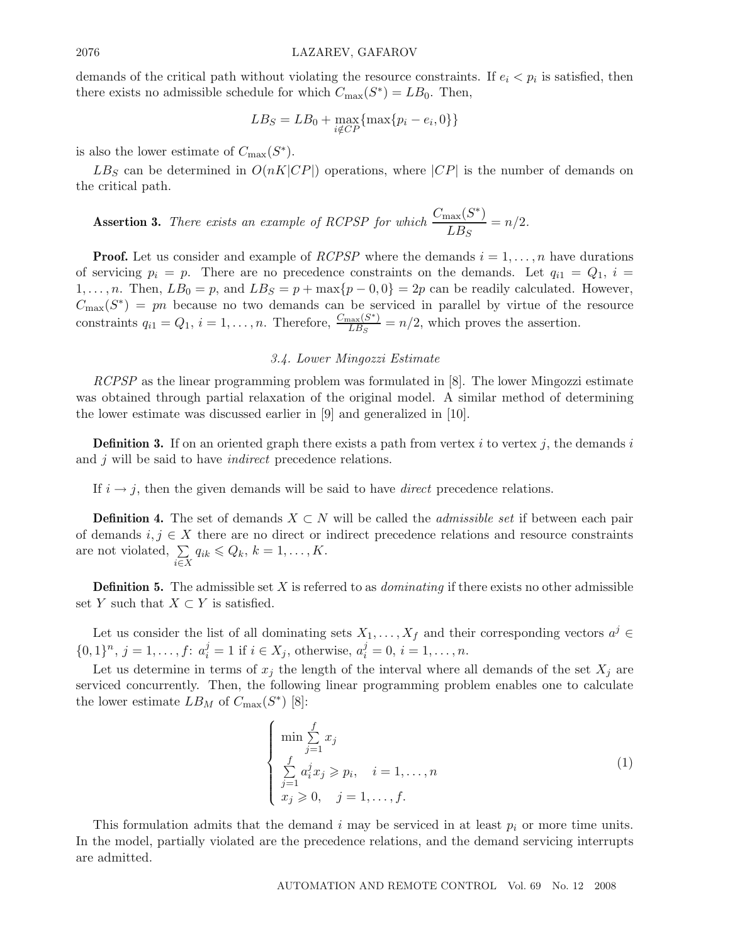demands of the critical path without violating the resource constraints. If  $e_i < p_i$  is satisfied, then there exists no admissible schedule for which  $C_{\text{max}}(S^*) = LB_0$ . Then,

$$
LB_S = LB_0 + \max_{i \notin CP} {\max\{p_i - e_i, 0\}\}
$$

is also the lower estimate of  $C_{\text{max}}(S^*).$ 

 $LB<sub>S</sub>$  can be determined in  $O(nK|CP|)$  operations, where  $|CP|$  is the number of demands on the critical path.

**assertion 3.** There exists an example of RCPSP for which 
$$
\frac{C_{\text{max}}(S^*)}{LB_S} = n/2
$$
.

**Proof.** Let us consider and example of *RCPSP* where the demands  $i = 1, \ldots, n$  have durations of servicing  $p_i = p$ . There are no precedence constraints on the demands. Let  $q_{i1} = Q_1$ ,  $i =$ 1,...,n. Then,  $LB_0 = p$ , and  $LB_S = p + \max\{p-0, 0\} = 2p$  can be readily calculated. However,  $C_{\text{max}}(S^*) = pn$  because no two demands can be serviced in parallel by virtue of the resource constraints  $q_{i1} = Q_1$ ,  $i = 1, ..., n$ . Therefore,  $\frac{C_{\text{max}}(S^*)}{LB_S} = n/2$ , which proves the assertion.

#### *3.4. Lower Mingozzi Estimate*

*RCPSP* as the linear programming problem was formulated in [8]. The lower Mingozzi estimate was obtained through partial relaxation of the original model. A similar method of determining the lower estimate was discussed earlier in [9] and generalized in [10].

**Definition 3.** If on an oriented graph there exists a path from vertex i to vertex j, the demands i and j will be said to have *indirect* precedence relations.

If  $i \rightarrow j$ , then the given demands will be said to have *direct* precedence relations.

**Definition 4.** The set of demands  $X \subset N$  will be called the *admissible set* if between each pair of demands  $i, j \in X$  there are no direct or indirect precedence relations and resource constraints are not violated,  $\Sigma$ i∈X  $q_{ik} \leq Q_k, k = 1, \ldots, K.$ 

**Definition 5.** The admissible set X is referred to as *dominating* if there exists no other admissible set Y such that  $X \subset Y$  is satisfied.

Let us consider the list of all dominating sets  $X_1, \ldots, X_f$  and their corresponding vectors  $a^j \in$  $\{0,1\}^n$ ,  $j = 1, ..., f: a_i^j = 1$  if  $i \in X_j$ , otherwise,  $a_i^j = 0, i = 1, ..., n$ .

Let us determine in terms of  $x_j$  the length of the interval where all demands of the set  $X_j$  are serviced concurrently. Then, the following linear programming problem enables one to calculate the lower estimate  $LB_M$  of  $C_{\text{max}}(S^*)$  [8]:

$$
\begin{cases}\n\min \sum_{j=1}^{f} x_j \\
\sum_{j=1}^{f} a_i^j x_j \geqslant p_i, \quad i = 1, \dots, n \\
x_j \geqslant 0, \quad j = 1, \dots, f.\n\end{cases}
$$
\n(1)

This formulation admits that the demand i may be serviced in at least  $p_i$  or more time units. In the model, partially violated are the precedence relations, and the demand servicing interrupts are admitted.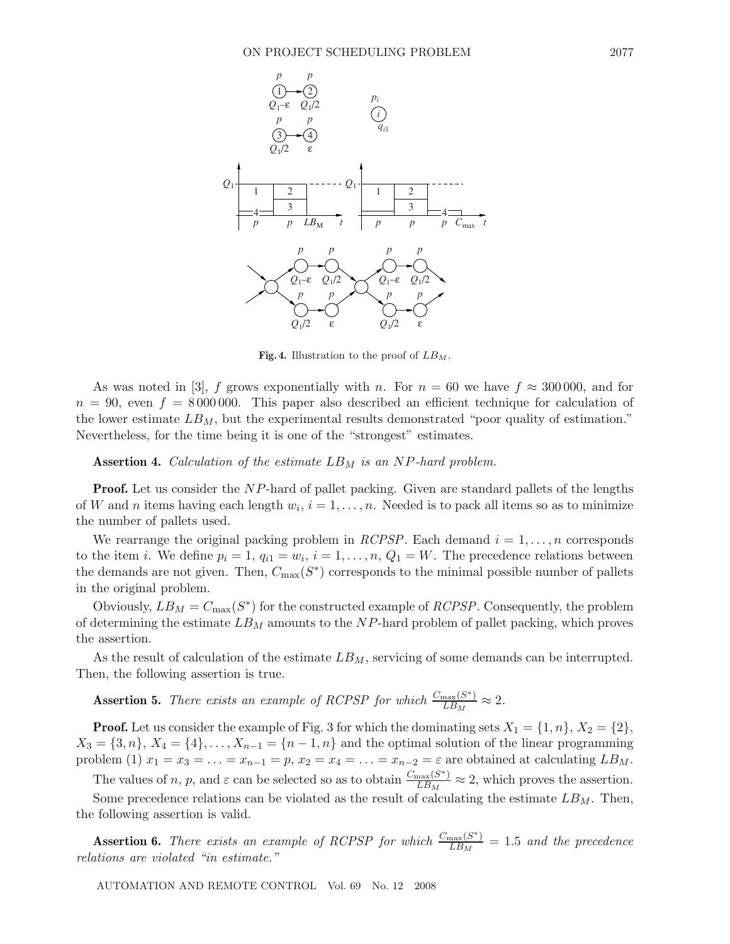

**Fig. 4.** Illustration to the proof of *LB<sup>M</sup>* .

As was noted in [3], f grows exponentially with n. For  $n = 60$  we have  $f \approx 300000$ , and for  $n = 90$ , even  $f = 8000000$ . This paper also described an efficient technique for calculation of the lower estimate  $LB_M$ , but the experimental results demonstrated "poor quality of estimation." Nevertheless, for the time being it is one of the "strongest" estimates.

**Assertion 4.** *Calculation of the estimate*  $LB_M$  *is an NP-hard problem.* 

**Proof.** Let us consider the NP-hard of pallet packing. Given are standard pallets of the lengths of W and n items having each length  $w_i$ ,  $i = 1, \ldots, n$ . Needed is to pack all items so as to minimize the number of pallets used.

We rearrange the original packing problem in *RCPSP*. Each demand  $i = 1, \ldots, n$  corresponds to the item i. We define  $p_i = 1, q_{i1} = w_i, i = 1, \ldots, n, Q_1 = W$ . The precedence relations between the demands are not given. Then,  $C_{\text{max}}(S^*)$  corresponds to the minimal possible number of pallets in the original problem.

Obviously,  $LB_M = C_{\text{max}}(S^*)$  for the constructed example of *RCPSP*. Consequently, the problem of determining the estimate  $LB_M$  amounts to the NP-hard problem of pallet packing, which proves the assertion.

As the result of calculation of the estimate  $LB_M$ , servicing of some demands can be interrupted. Then, the following assertion is true.

**Assertion 5.** *There exists an example of RCPSP for which*  $\frac{C_{\text{max}}(S^*)}{LB_M} \approx 2$ .

**Proof.** Let us consider the example of Fig. 3 for which the dominating sets  $X_1 = \{1, n\}, X_2 = \{2\},$  $X_3 = \{3, n\}, X_4 = \{4\}, \ldots, X_{n-1} = \{n-1, n\}$  and the optimal solution of the linear programming problem (1)  $x_1 = x_3 = \ldots = x_{n-1} = p$ ,  $x_2 = x_4 = \ldots = x_{n-2} = \varepsilon$  are obtained at calculating  $LB_M$ .

The values of n, p, and  $\varepsilon$  can be selected so as to obtain  $\frac{C_{\text{max}}(S^*)}{LB_M} \approx 2$ , which proves the assertion.

Some precedence relations can be violated as the result of calculating the estimate  $LB_M$ . Then, the following assertion is valid.

**Assertion 6.** *There exists an example of RCPSP for which*  $\frac{C_{\text{max}}(S^*)}{LB_M} = 1.5$  *and the precedence relations are violated "in estimate."*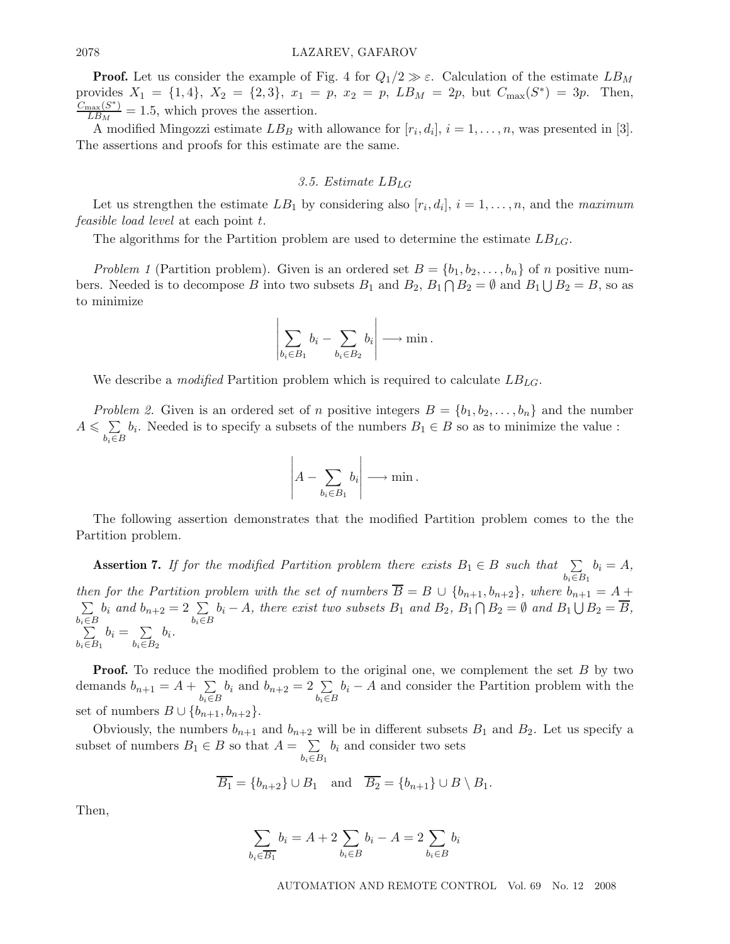**Proof.** Let us consider the example of Fig. 4 for  $Q_1/2 \gg \varepsilon$ . Calculation of the estimate  $LB_M$ provides  $X_1 = \{1, 4\}, X_2 = \{2, 3\}, x_1 = p, x_2 = p, LB_M = 2p, but C_{\text{max}}(S^*) = 3p.$  Then,  $\frac{C_{\text{max}}(S^*)}{LB_M} = 1.5$ , which proves the assertion.

A modified Mingozzi estimate  $LB_B$  with allowance for  $[r_i, d_i], i = 1, \ldots, n$ , was presented in [3]. The assertions and proofs for this estimate are the same.

#### *3.5. Estimate* LBLG

Let us strengthen the estimate  $LB_1$  by considering also  $[r_i, d_i], i = 1, \ldots, n$ , and the *maximum feasible load level* at each point t.

The algorithms for the Partition problem are used to determine the estimate  $LB_{LG}$ .

*Problem 1* (Partition problem). Given is an ordered set  $B = \{b_1, b_2, \ldots, b_n\}$  of n positive numbers. Needed is to decompose B into two subsets  $B_1$  and  $B_2$ ,  $B_1 \cap B_2 = \emptyset$  and  $B_1 \cup B_2 = B$ , so as to minimize

$$
\left|\sum_{b_i\in B_1}b_i-\sum_{b_i\in B_2}b_i\right|\longrightarrow\min.
$$

We describe a *modified* Partition problem which is required to calculate LBLG.

*Problem 2.* Given is an ordered set of n positive integers  $B = \{b_1, b_2, \ldots, b_n\}$  and the number  $A \leqslant \sum$ b*i*∈B  $b_i$ . Needed is to specify a subsets of the numbers  $B_1 \in B$  so as to minimize the value :

$$
\left| A - \sum_{b_i \in B_1} b_i \right| \longrightarrow \min.
$$

The following assertion demonstrates that the modified Partition problem comes to the the Partition problem.

**Assertion 7.** *If for the modified Partition problem there exists*  $B_1 \in B$  *such that*  $\sum$  $b_i \in B_1$  $b_i = A$ , *then for the Partition problem with the set of numbers*  $\overline{B} = B \cup \{b_{n+1}, b_{n+2}\}$ , where  $b_{n+1} = A +$  $\sum$ b*i*∈B  $b_i$  *and*  $b_{n+2} = 2 \sum$ b*i*∈B  $b_i - A$ , there exist two subsets  $B_1$  and  $B_2$ ,  $B_1 \cap B_2 = \emptyset$  and  $B_1 \cup B_2 = \overline{B}$ ,  $\sum$   $b_i \in B_1$  $b_i = \sum$  $b_i \in B_2$ bi*.*

**Proof.** To reduce the modified problem to the original one, we complement the set B by two demands  $b_{n+1} = A + \sum$ b*i*∈B  $b_i$  and  $b_{n+2} = 2 \sum$ b*i*∈B  $b_i - A$  and consider the Partition problem with the set of numbers  $B \cup \{b_{n+1}, b_{n+2}\}.$ 

Obviously, the numbers  $b_{n+1}$  and  $b_{n+2}$  will be in different subsets  $B_1$  and  $B_2$ . Let us specify a subset of numbers  $B_1 \in B$  so that  $A = \sum$  $b_i \in B_1$  $b_i$  and consider two sets

$$
\overline{B_1} = \{b_{n+2}\} \cup B_1 \quad \text{and} \quad \overline{B_2} = \{b_{n+1}\} \cup B \setminus B_1.
$$

Then,

$$
\sum_{b_i \in \overline{B_1}} b_i = A + 2 \sum_{b_i \in B} b_i - A = 2 \sum_{b_i \in B} b_i
$$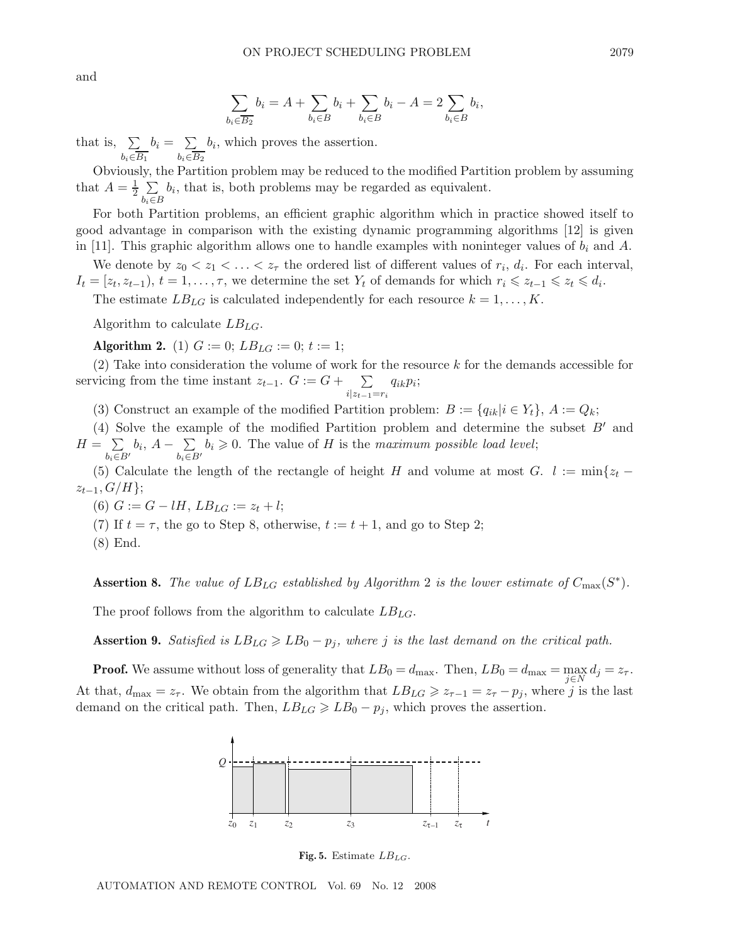$$
\sum_{b_i \in \overline{B_2}} b_i = A + \sum_{b_i \in B} b_i + \sum_{b_i \in B} b_i - A = 2 \sum_{b_i \in B} b_i,
$$

that is,  $\Sigma$  $b_i \in B_1$  $b_i = \sum$  $b_i \in B_2$  $b_i$ , which proves the assertion.

Obviously, the Partition problem may be reduced to the modified Partition problem by assuming that  $A = \frac{1}{2} \sum_{n=1}^{\infty}$  $b_i$ , that is, both problems may be regarded as equivalent.

b*i*∈B For both Partition problems, an efficient graphic algorithm which in practice showed itself to good advantage in comparison with the existing dynamic programming algorithms [12] is given in [11]. This graphic algorithm allows one to handle examples with noninteger values of  $b_i$  and A.

We denote by  $z_0 < z_1 < \ldots < z_{\tau}$  the ordered list of different values of  $r_i$ ,  $d_i$ . For each interval,  $I_t = [z_t, z_{t-1}), t = 1, \ldots, \tau$ , we determine the set  $Y_t$  of demands for which  $r_i \leq z_{t-1} \leq z_t \leq d_i$ .

The estimate  $LB_{LG}$  is calculated independently for each resource  $k = 1, \ldots, K$ .

Algorithm to calculate  $LB_{LG}$ .

**Algorithm 2.** (1)  $G := 0$ ;  $LB_{LG} := 0$ ;  $t := 1$ ;

(2) Take into consideration the volume of work for the resource k for the demands accessible for servicing from the time instant  $z_{t-1}$ .  $G := G + \sum_{i=1}^{n}$ i|z*t*−1=r*<sup>i</sup>* qikpi;

(3) Construct an example of the modified Partition problem:  $B := \{q_{ik}|i \in Y_t\}$ ,  $A := Q_k$ ;

(4) Solve the example of the modified Partition problem and determine the subset  $B'$  and  $H = \sum$  $b_i \in B'$  $b_i, A - \sum$  $b_i \in B'$  $b_i \geq 0$ . The value of H is the *maximum possible load level*;

(5) Calculate the length of the rectangle of height H and volume at most G.  $l := min\{z_t$  $z_{t-1}, G/H$ ;

(6)  $G := G - lH$ ,  $LB_{LG} := z_t + l$ ;

(7) If  $t = \tau$ , the go to Step 8, otherwise,  $t := t + 1$ , and go to Step 2;

(8) End.

**Assertion 8.** *The value of*  $LB_{LG}$  *established by Algorithm* 2 *is the lower estimate of*  $C_{\text{max}}(S^*)$ *.* 

The proof follows from the algorithm to calculate  $LB_{LG}$ .

**Assertion 9.** *Satisfied is*  $LB_{LG} \geq B_0 - p_i$ , where *j is the last demand on the critical path.* 

**Proof.** We assume without loss of generality that  $LB_0 = d_{\text{max}}$ . Then,  $LB_0 = d_{\text{max}} = \max_{j \in N} d_j = z_{\tau}$ . At that,  $d_{\text{max}} = z_{\tau}$ . We obtain from the algorithm that  $LB_{LG} \geq z_{\tau-1} = z_{\tau} - p_j$ , where j is the last demand on the critical path. Then,  $LB_{LG} \geq B_0 - p_i$ , which proves the assertion.



**Fig. 5.** Estimate *LBLG*.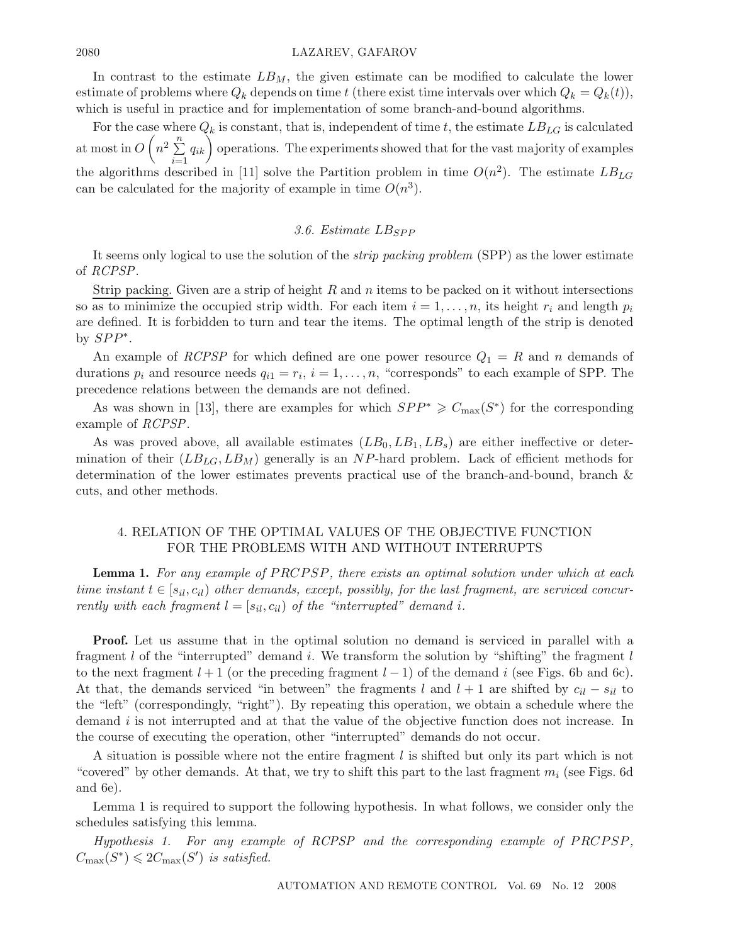#### 2080 LAZAREV, GAFAROV

In contrast to the estimate  $LB_M$ , the given estimate can be modified to calculate the lower estimate of problems where  $Q_k$  depends on time t (there exist time intervals over which  $Q_k = Q_k(t)$ ), which is useful in practice and for implementation of some branch-and-bound algorithms.

For the case where  $Q_k$  is constant, that is, independent of time t, the estimate  $LB_{LG}$  is calculated at most in  $O\left(n^2\sum_{n=1}^n\right)$  $\sum_{i=1}^{n} q_{ik}$  operations. The experiments showed that for the vast majority of examples the algorithms described in [11] solve the Partition problem in time  $O(n^2)$ . The estimate  $LB_{LG}$ can be calculated for the majority of example in time  $O(n^3)$ .

## 3.6. Estimate LB<sub>SPP</sub>

It seems only logical to use the solution of the *strip packing problem* (SPP) as the lower estimate of *RCPSP*.

Strip packing. Given are a strip of height  $R$  and  $n$  items to be packed on it without intersections so as to minimize the occupied strip width. For each item  $i = 1, \ldots, n$ , its height  $r_i$  and length  $p_i$ are defined. It is forbidden to turn and tear the items. The optimal length of the strip is denoted by  $SPP^*$ .

An example of *RCPSP* for which defined are one power resource  $Q_1 = R$  and n demands of durations  $p_i$  and resource needs  $q_{i1} = r_i$ ,  $i = 1, \ldots, n$ , "corresponds" to each example of SPP. The precedence relations between the demands are not defined.

As was shown in [13], there are examples for which  $SPP^* \geq C_{\text{max}}(S^*)$  for the corresponding example of *RCPSP*.

As was proved above, all available estimates  $(LB_0, LB_1, LB_s)$  are either ineffective or determination of their  $(LB_{LG}, LB_M)$  generally is an NP-hard problem. Lack of efficient methods for determination of the lower estimates prevents practical use of the branch-and-bound, branch & cuts, and other methods.

# 4. RELATION OF THE OPTIMAL VALUES OF THE OBJECTIVE FUNCTION FOR THE PROBLEMS WITH AND WITHOUT INTERRUPTS

**Lemma 1.** For any example of PRCPSP, there exists an optimal solution under which at each *time instant*  $t \in [s_{il}, c_{il}]$  *other demands, except, possibly, for the last fragment, are serviced concurrently with each fragment*  $l = [s_{il}, c_{il}]$  *of the "interrupted" demand i.* 

**Proof.** Let us assume that in the optimal solution no demand is serviced in parallel with a fragment l of the "interrupted" demand i. We transform the solution by "shifting" the fragment l to the next fragment  $l + 1$  (or the preceding fragment  $l - 1$ ) of the demand i (see Figs. 6b and 6c). At that, the demands serviced "in between" the fragments l and  $l + 1$  are shifted by  $c_{il} - s_{il}$  to the "left" (correspondingly, "right"). By repeating this operation, we obtain a schedule where the demand  $i$  is not interrupted and at that the value of the objective function does not increase. In the course of executing the operation, other "interrupted" demands do not occur.

A situation is possible where not the entire fragment  $l$  is shifted but only its part which is not "covered" by other demands. At that, we try to shift this part to the last fragment  $m_i$  (see Figs. 6d) and 6e).

Lemma 1 is required to support the following hypothesis. In what follows, we consider only the schedules satisfying this lemma.

*Hypothesis 1. For any example of RCPSP and the corresponding example of PRCPSP*,  $C_{\max}(S^*) \leqslant 2C_{\max}(S')$  *is satisfied.*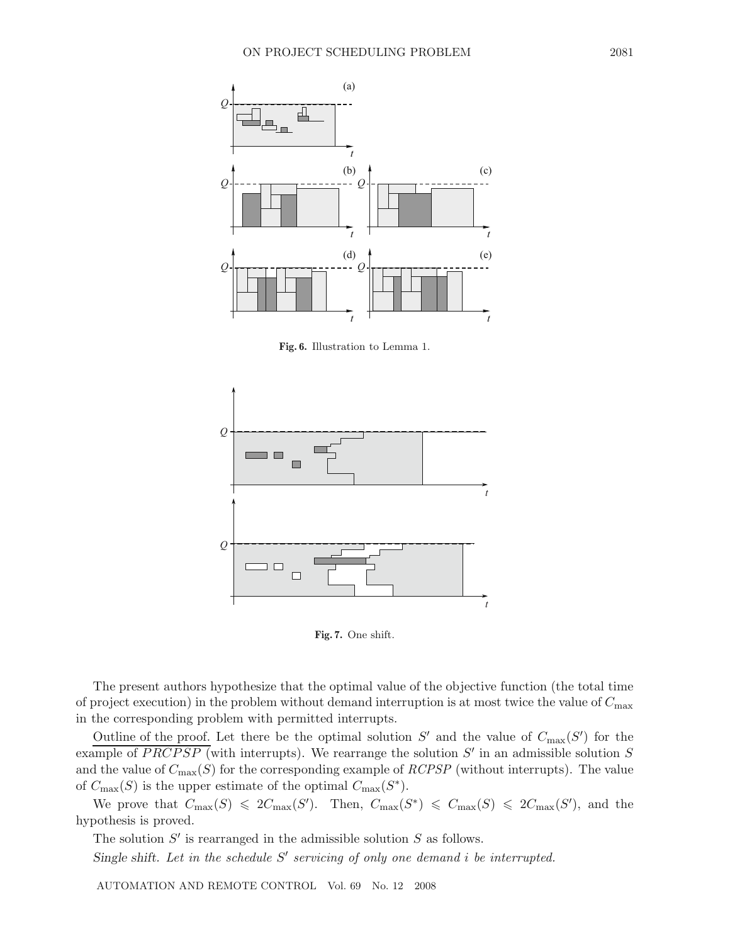

**Fig. 6.** Illustration to Lemma 1.



**Fig. 7.** One shift.

The present authors hypothesize that the optimal value of the objective function (the total time of project execution) in the problem without demand interruption is at most twice the value of  $C_{\text{max}}$ in the corresponding problem with permitted interrupts.

Outline of the proof. Let there be the optimal solution  $S'$  and the value of  $C_{\text{max}}(S')$  for the example of PRCPSP (with interrupts). We rearrange the solution  $S'$  in an admissible solution S and the value of  $C_{\text{max}}(S)$  for the corresponding example of *RCPSP* (without interrupts). The value of  $C_{\text{max}}(S)$  is the upper estimate of the optimal  $C_{\text{max}}(S^*)$ .

We prove that  $C_{\max}(S) \leq 2C_{\max}(S')$ . Then,  $C_{\max}(S^*) \leq C_{\max}(S) \leq 2C_{\max}(S')$ , and the hypothesis is proved.

The solution  $S'$  is rearranged in the admissible solution  $S$  as follows.

*Single shift. Let in the schedule* S' *servicing of only one demand i be interrupted.*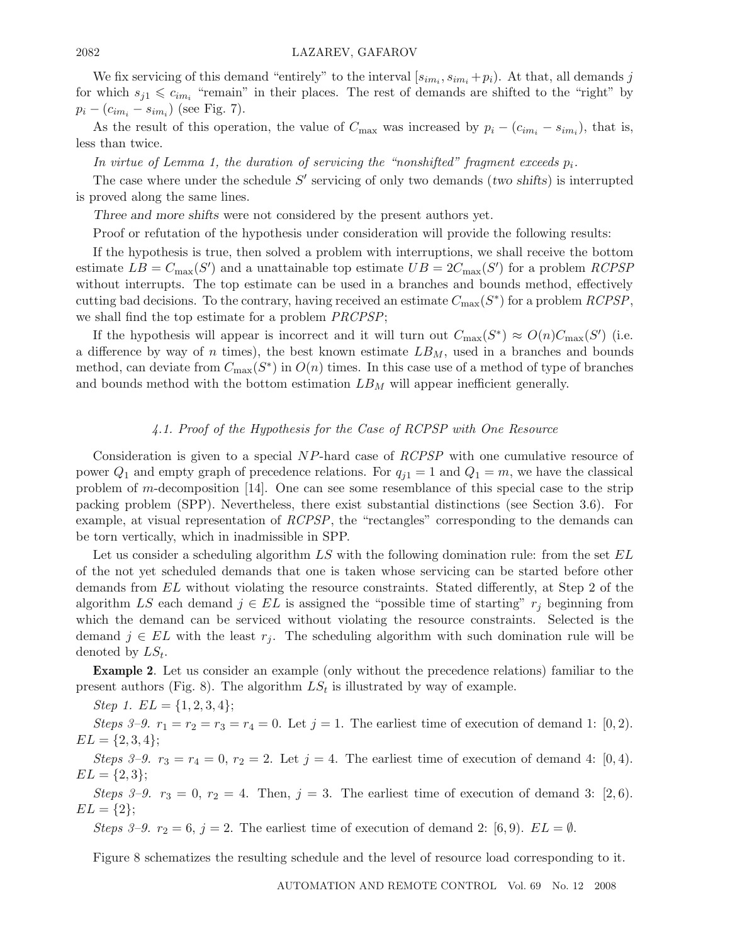#### 2082 LAZAREV, GAFAROV

We fix servicing of this demand "entirely" to the interval  $[s_{im_i}, s_{im_i} + p_i)$ . At that, all demands j for which  $s_{j1} \leqslant c_{im_i}$  "remain" in their places. The rest of demands are shifted to the "right" by  $p_i - (c_{im_i} - s_{im_i})$  (see Fig. 7).

As the result of this operation, the value of  $C_{\text{max}}$  was increased by  $p_i - (c_{im_i} - s_{im_i})$ , that is, less than twice.

*In virtue of Lemma 1, the duration of servicing the "nonshifted" fragment exceeds*  $p_i$ .

The case where under the schedule  $S'$  servicing of only two demands (*two shifts*) is interrupted is proved along the same lines.

*Three and more shifts* were not considered by the present authors yet.

Proof or refutation of the hypothesis under consideration will provide the following results:

If the hypothesis is true, then solved a problem with interruptions, we shall receive the bottom estimate  $LB = C_{\text{max}}(S')$  and a unattainable top estimate  $UB = 2C_{\text{max}}(S')$  for a problem *RCPSP* without interrupts. The top estimate can be used in a branches and bounds method, effectively cutting bad decisions. To the contrary, having received an estimate  $C_{\text{max}}(S^*)$  for a problem *RCPSP*, we shall find the top estimate for a problem *PRCPSP*;

If the hypothesis will appear is incorrect and it will turn out  $C_{\text{max}}(S^*) \approx O(n)C_{\text{max}}(S')$  (i.e. a difference by way of n times), the best known estimate  $LB_M$ , used in a branches and bounds method, can deviate from  $C_{\text{max}}(S^*)$  in  $O(n)$  times. In this case use of a method of type of branches and bounds method with the bottom estimation  $LB_M$  will appear inefficient generally.

# *4.1. Proof of the Hypothesis for the Case of RCPSP with One Resource*

Consideration is given to a special NP-hard case of *RCPSP* with one cumulative resource of power  $Q_1$  and empty graph of precedence relations. For  $q_{i1} = 1$  and  $Q_1 = m$ , we have the classical problem of m-decomposition [14]. One can see some resemblance of this special case to the strip packing problem (SPP). Nevertheless, there exist substantial distinctions (see Section 3.6). For example, at visual representation of *RCPSP*, the "rectangles" corresponding to the demands can be torn vertically, which in inadmissible in SPP.

Let us consider a scheduling algorithm  $LS$  with the following domination rule: from the set  $EL$ of the not yet scheduled demands that one is taken whose servicing can be started before other demands from EL without violating the resource constraints. Stated differently, at Step 2 of the algorithm LS each demand  $j \in EL$  is assigned the "possible time of starting"  $r_j$  beginning from which the demand can be serviced without violating the resource constraints. Selected is the demand  $j \in EL$  with the least  $r_j$ . The scheduling algorithm with such domination rule will be denoted by  $LS_t$ .

**Example 2**. Let us consider an example (only without the precedence relations) familiar to the present authors (Fig. 8). The algorithm  $LS<sub>t</sub>$  is illustrated by way of example.

*Step 1.*  $EL = \{1, 2, 3, 4\};\$ 

*Steps 3–9.*  $r_1 = r_2 = r_3 = r_4 = 0$ . Let  $j = 1$ . The earliest time of execution of demand 1: [0, 2].  $EL = \{2, 3, 4\};$ 

*Steps 3-9.*  $r_3 = r_4 = 0, r_2 = 2$ . Let  $j = 4$ . The earliest time of execution of demand 4: [0, 4].  $EL = \{2, 3\};$ 

*Steps 3–9.*  $r_3 = 0$ ,  $r_2 = 4$ . Then,  $j = 3$ . The earliest time of execution of demand 3: [2,6].  $EL = \{2\};$ 

*Steps 3–9.*  $r_2 = 6$ ,  $j = 2$ . The earliest time of execution of demand 2: [6,9].  $EL = \emptyset$ .

Figure 8 schematizes the resulting schedule and the level of resource load corresponding to it.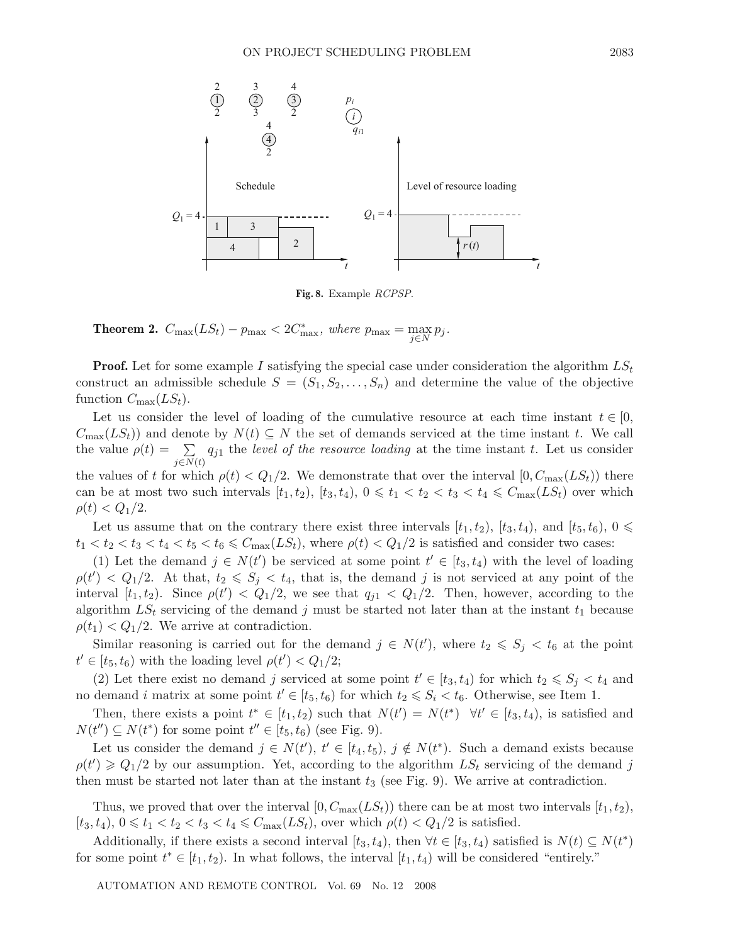

**Fig. 8.** Example *RCPSP*.

**Theorem 2.**  $C_{\text{max}}(LS_t) - p_{\text{max}} < 2C_{\text{max}}^*$ , where  $p_{\text{max}} = \max_{j \in N} p_j$ .

**Proof.** Let for some example I satisfying the special case under consideration the algorithm  $LS_t$ construct an admissible schedule  $S = (S_1, S_2, \ldots, S_n)$  and determine the value of the objective function  $C_{\text{max}}(LS_t)$ .

Let us consider the level of loading of the cumulative resource at each time instant  $t \in [0, \frac{1}{2}]$  $C_{\text{max}}(LS_t)$  and denote by  $N(t) \subseteq N$  the set of demands serviced at the time instant t. We call the value  $\rho(t) = \sum$  $j \in N(t)$  $q_{j1}$  the *level of the resource loading* at the time instant  $t$ . Let us consider the values of t for which  $\rho(t) < Q_1/2$ . We demonstrate that over the interval  $[0, C_{\text{max}}(LS_t))$  there can be at most two such intervals  $[t_1, t_2)$ ,  $[t_3, t_4)$ ,  $0 \le t_1 < t_2 < t_3 < t_4 \le C_{\text{max}}(LS_t)$  over which  $\rho(t) < Q_1/2.$ 

Let us assume that on the contrary there exist three intervals  $[t_1, t_2)$ ,  $[t_3, t_4)$ , and  $[t_5, t_6)$ ,  $0 \le$  $t_1 < t_2 < t_3 < t_4 < t_5 < t_6 \le C_{\text{max}}(LS_t)$ , where  $\rho(t) < Q_1/2$  is satisfied and consider two cases:

(1) Let the demand  $j \in N(t')$  be serviced at some point  $t' \in [t_3, t_4)$  with the level of loading  $\rho(t') < Q_1/2$ . At that,  $t_2 \leqslant S_j < t_4$ , that is, the demand j is not serviced at any point of the interval  $[t_1, t_2]$ . Since  $\rho(t') < Q_1/2$ , we see that  $q_{j1} < Q_1/2$ . Then, however, according to the algorithm  $LS_t$  servicing of the demand j must be started not later than at the instant  $t_1$  because  $\rho(t_1) < Q_1/2$ . We arrive at contradiction.

Similar reasoning is carried out for the demand  $j \in N(t')$ , where  $t_2 \leqslant S_j < t_6$  at the point  $t' \in [t_5, t_6)$  with the loading level  $\rho(t') < Q_1/2$ ;

(2) Let there exist no demand j serviced at some point  $t' \in [t_3, t_4)$  for which  $t_2 \leqslant S_j < t_4$  and no demand i matrix at some point  $t' \in [t_5, t_6)$  for which  $t_2 \leqslant S_i < t_6$ . Otherwise, see Item 1.

Then, there exists a point  $t^* \in [t_1, t_2)$  such that  $N(t') = N(t^*) \quad \forall t' \in [t_3, t_4)$ , is satisfied and  $N(t'') \subseteq N(t^*)$  for some point  $t'' \in [t_5, t_6)$  (see Fig. 9).

Let us consider the demand  $j \in N(t')$ ,  $t' \in [t_4, t_5)$ ,  $j \notin N(t^*)$ . Such a demand exists because  $\rho(t') \geq Q_1/2$  by our assumption. Yet, according to the algorithm  $LS_t$  servicing of the demand j then must be started not later than at the instant  $t_3$  (see Fig. 9). We arrive at contradiction.

Thus, we proved that over the interval  $[0, C_{\text{max}}(LS_t))$  there can be at most two intervals  $[t_1, t_2)$ ,  $[t_3, t_4), 0 \leq t_1 < t_2 < t_3 < t_4 \leq C_{\text{max}}(LS_t)$ , over which  $\rho(t) < Q_1/2$  is satisfied.

Additionally, if there exists a second interval  $[t_3, t_4)$ , then  $\forall t \in [t_3, t_4)$  satisfied is  $N(t) \subseteq N(t^*)$ for some point  $t^* \in [t_1, t_2)$ . In what follows, the interval  $[t_1, t_4)$  will be considered "entirely."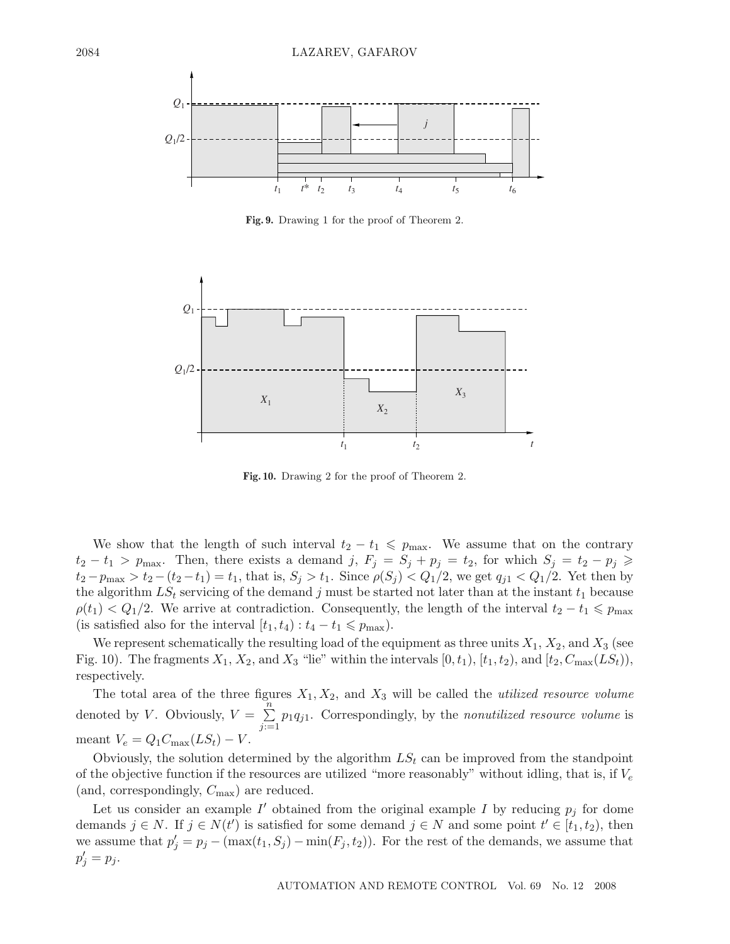

**Fig. 9.** Drawing 1 for the proof of Theorem 2.



**Fig. 10.** Drawing 2 for the proof of Theorem 2.

We show that the length of such interval  $t_2 - t_1 \leqslant p_{\text{max}}$ . We assume that on the contrary  $t_2 - t_1 > p_{\text{max}}$ . Then, there exists a demand j,  $F_j = S_j + p_j = t_2$ , for which  $S_j = t_2 - p_j \geq$  $t_2 - p_{\text{max}} > t_2 - (t_2 - t_1) = t_1$ , that is,  $S_j > t_1$ . Since  $\rho(S_j) < Q_1/2$ , we get  $q_{j1} < Q_1/2$ . Yet then by the algorithm  $LS_t$  servicing of the demand j must be started not later than at the instant  $t_1$  because  $\rho(t_1) < Q_1/2$ . We arrive at contradiction. Consequently, the length of the interval  $t_2 - t_1 \leq p_{\text{max}}$ (is satisfied also for the interval  $[t_1, t_4) : t_4 - t_1 \leq p_{\text{max}}$ ).

We represent schematically the resulting load of the equipment as three units  $X_1, X_2$ , and  $X_3$  (see Fig. 10). The fragments  $X_1, X_2$ , and  $X_3$  "lie" within the intervals  $[0, t_1)$ ,  $[t_1, t_2)$ , and  $[t_2, C_{\text{max}}(LS_t))$ , respectively.

The total area of the three figures  $X_1, X_2$ , and  $X_3$  will be called the *utilized resource volume* denoted by *V*. Obviously,  $V = \sum_{n=1}^{\infty}$  $\sum_{j=1}^{n} p_1 q_{j1}$ . Correspondingly, by the *nonutilized resource volume* is meant  $V_e = Q_1 C_{\text{max}}(LS_t) - V$ .

Obviously, the solution determined by the algorithm  $LS<sub>t</sub>$  can be improved from the standpoint of the objective function if the resources are utilized "more reasonably" without idling, that is, if  $V_e$ (and, correspondingly,  $C_{\text{max}}$ ) are reduced.

Let us consider an example  $I'$  obtained from the original example I by reducing  $p_j$  for dome demands  $j \in N$ . If  $j \in N(t')$  is satisfied for some demand  $j \in N$  and some point  $t' \in [t_1, t_2)$ , then we assume that  $p'_j = p_j - (\max(t_1, S_j) - \min(F_j, t_2))$ . For the rest of the demands, we assume that  $p'_j = p_j.$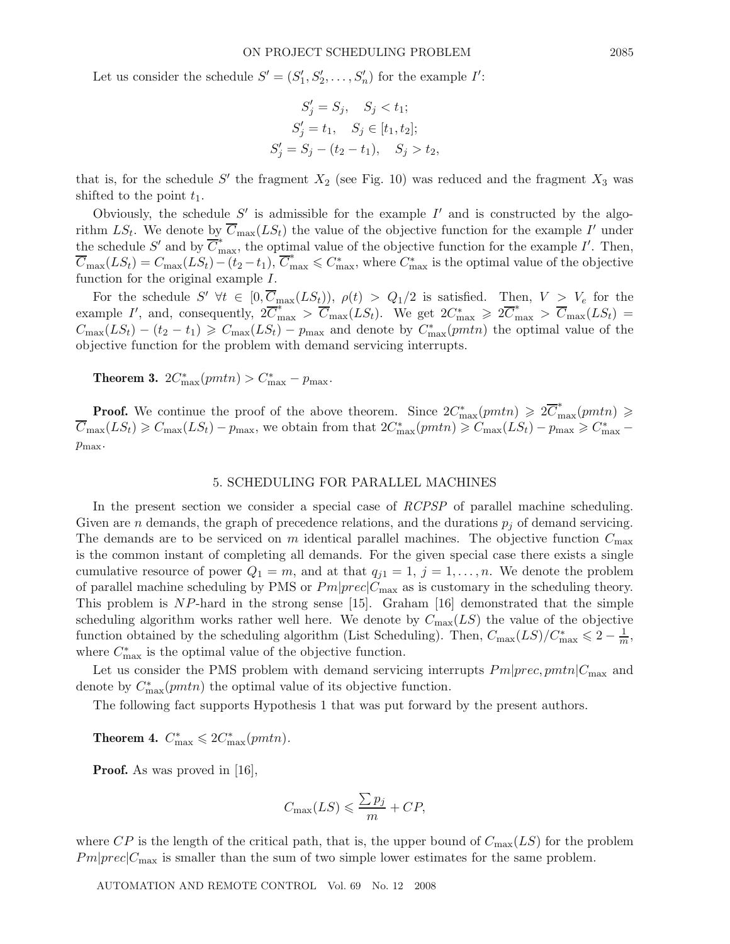Let us consider the schedule  $S' = (S'_1, S'_2, \ldots, S'_n)$  for the example  $I'$ :

$$
S'_{j} = S_{j}, \quad S_{j} < t_{1};
$$
\n
$$
S'_{j} = t_{1}, \quad S_{j} \in [t_{1}, t_{2}];
$$
\n
$$
S'_{j} = S_{j} - (t_{2} - t_{1}), \quad S_{j} > t_{2},
$$

that is, for the schedule  $S'$  the fragment  $X_2$  (see Fig. 10) was reduced and the fragment  $X_3$  was shifted to the point  $t_1$ .

Obviously, the schedule  $S'$  is admissible for the example  $I'$  and is constructed by the algorithm  $LS_t$ . We denote by  $\overline{C}_{\text{max}}(LS_t)$  the value of the objective function for the example I' under the schedule S' and by  $\overline{C}^*_{\text{max}}$ , the optimal value of the objective function for the example I'. Then,  $\overline{C}_{\max}(LS_t) = C_{\max}(LS_t) - (t_2 - t_1), \overline{C}_{\max}^* \leqslant C_{\max}^*$ , where  $C_{\max}^*$  is the optimal value of the objective function for the original example I.

For the schedule  $S' \forall t \in [0, \overline{C}_{\text{max}}(LS_t)), \rho(t) > Q_1/2$  is satisfied. Then,  $V > V_e$  for the example I', and, consequently,  $2\overline{C}_{\text{max}}^* > \overline{C}_{\text{max}}(LS_t)$ . We get  $2C_{\text{max}}^* \geq 2\overline{C}_{\text{max}}^* > \overline{C}_{\text{max}}(LS_t)$  $C_{\text{max}}(LS_t) - (t_2 - t_1) \geqslant C_{\text{max}}(LS_t) - p_{\text{max}}$  and denote by  $C_{\text{max}}^*(pm)$  the optimal value of the objective function for the problem with demand servicing interrupts.

**Theorem 3.**  $2C_{\text{max}}^{*}(pmtn) > C_{\text{max}}^{*} - p_{\text{max}}.$ 

**Proof.** We continue the proof of the above theorem. Since  $2C_{\text{max}}^*(pmn) \geq 2\overline{C}_{\text{max}}^*(pmn) \geq 1$  $\overline{C}_{\text{max}}(LS_t) \geqslant C_{\text{max}}(LS_t) - p_{\text{max}}$ , we obtain from that  $2C_{\text{max}}^*(pmn) \geqslant C_{\text{max}}(LS_t) - p_{\text{max}} \geqslant C_{\text{max}}^*$  $p_{\text{max}}$ .

#### 5. SCHEDULING FOR PARALLEL MACHINES

In the present section we consider a special case of *RCPSP* of parallel machine scheduling. Given are *n* demands, the graph of precedence relations, and the durations  $p_i$  of demand servicing. The demands are to be serviced on m identical parallel machines. The objective function  $C_{\text{max}}$ is the common instant of completing all demands. For the given special case there exists a single cumulative resource of power  $Q_1 = m$ , and at that  $q_{i1} = 1, j = 1, \ldots, n$ . We denote the problem of parallel machine scheduling by PMS or  $Pm|prec|C_{\text{max}}$  as is customary in the scheduling theory. This problem is NP-hard in the strong sense [15]. Graham [16] demonstrated that the simple scheduling algorithm works rather well here. We denote by  $C_{\text{max}}(LS)$  the value of the objective function obtained by the scheduling algorithm (List Scheduling). Then,  $C_{\text{max}}(LS)/C_{\text{max}}^* \leq 2 - \frac{1}{m}$ , where  $C^*_{\text{max}}$  is the optimal value of the objective function.

Let us consider the PMS problem with demand servicing interrupts  $Pm|prec, pmtn|C_{\text{max}}$  and denote by  $C^*_{\text{max}}(pmtn)$  the optimal value of its objective function.

The following fact supports Hypothesis 1 that was put forward by the present authors.

**Theorem 4.**  $C_{\text{max}}^* \leq 2C_{\text{max}}^*(pmn)$ .

**Proof.** As was proved in [16],

$$
C_{\max}(LS) \leqslant \frac{\sum p_j}{m} + CP,
$$

where  $\overline{CP}$  is the length of the critical path, that is, the upper bound of  $C_{\text{max}}(LS)$  for the problem  $Pm|prec|C_{\text{max}}$  is smaller than the sum of two simple lower estimates for the same problem.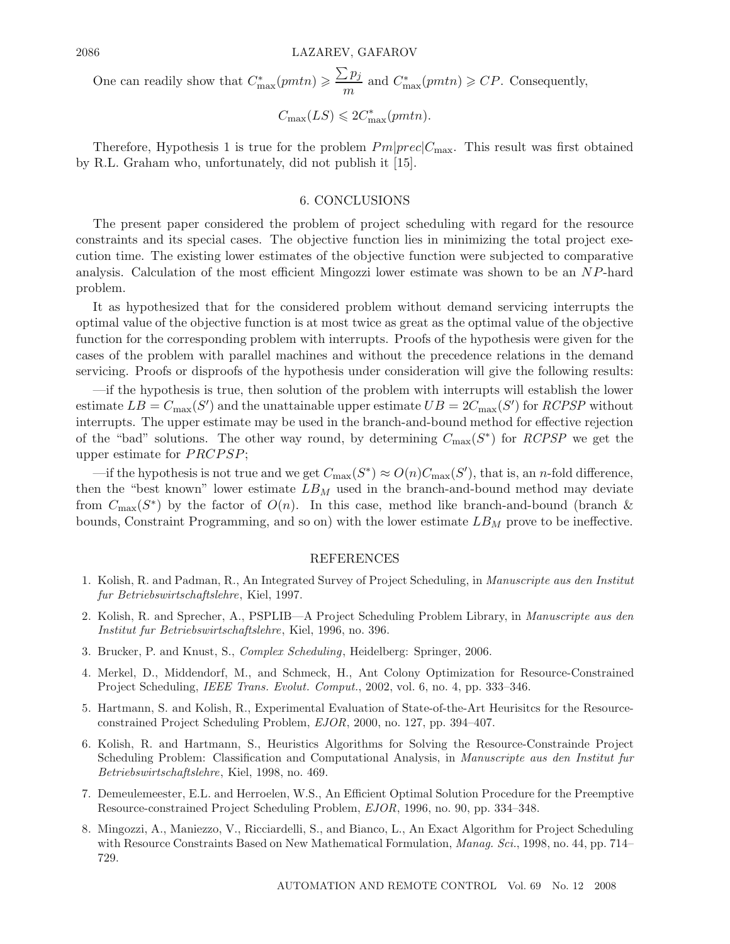One can readily show that  $C_{\text{max}}^*(pmn) \geqslant \frac{\sum p_j}{m}$  $\frac{\Delta P_j}{m}$  and  $C^*_{\text{max}}(pmn) \geqslant CP$ . Consequently,

$$
C_{\max}(LS) \leqslant 2C_{\max}^*(pmtn).
$$

Therefore, Hypothesis 1 is true for the problem  $Pm|prec|C_{\text{max}}$ . This result was first obtained by R.L. Graham who, unfortunately, did not publish it [15].

#### 6. CONCLUSIONS

The present paper considered the problem of project scheduling with regard for the resource constraints and its special cases. The objective function lies in minimizing the total project execution time. The existing lower estimates of the objective function were subjected to comparative analysis. Calculation of the most efficient Mingozzi lower estimate was shown to be an NP-hard problem.

It as hypothesized that for the considered problem without demand servicing interrupts the optimal value of the objective function is at most twice as great as the optimal value of the objective function for the corresponding problem with interrupts. Proofs of the hypothesis were given for the cases of the problem with parallel machines and without the precedence relations in the demand servicing. Proofs or disproofs of the hypothesis under consideration will give the following results:

—if the hypothesis is true, then solution of the problem with interrupts will establish the lower estimate  $LB = C_{\text{max}}(S')$  and the unattainable upper estimate  $UB = 2C_{\text{max}}(S')$  for *RCPSP* without interrupts. The upper estimate may be used in the branch-and-bound method for effective rejection of the "bad" solutions. The other way round, by determining  $C_{\text{max}}(S^*)$  for *RCPSP* we get the upper estimate for  $PRCPSP$ ;

—if the hypothesis is not true and we get  $C_{\text{max}}(S^*) \approx O(n)C_{\text{max}}(S')$ , that is, an *n*-fold difference, then the "best known" lower estimate  $LB_M$  used in the branch-and-bound method may deviate from  $C_{\text{max}}(S^*)$  by the factor of  $O(n)$ . In this case, method like branch-and-bound (branch & bounds, Constraint Programming, and so on) with the lower estimate  $LB_M$  prove to be ineffective.

## REFERENCES

- 1. Kolish, R. and Padman, R., An Integrated Survey of Project Scheduling, in *Manuscripte aus den Institut fur Betriebswirtschaftslehre*, Kiel, 1997.
- 2. Kolish, R. and Sprecher, A., PSPLIB—A Project Scheduling Problem Library, in *Manuscripte aus den Institut fur Betriebswirtschaftslehre*, Kiel, 1996, no. 396.
- 3. Brucker, P. and Knust, S., *Complex Scheduling*, Heidelberg: Springer, 2006.
- 4. Merkel, D., Middendorf, M., and Schmeck, H., Ant Colony Optimization for Resource-Constrained Project Scheduling, *IEEE Trans. Evolut. Comput.*, 2002, vol. 6, no. 4, pp. 333–346.
- 5. Hartmann, S. and Kolish, R., Experimental Evaluation of State-of-the-Art Heurisitcs for the Resourceconstrained Project Scheduling Problem, *EJOR*, 2000, no. 127, pp. 394–407.
- 6. Kolish, R. and Hartmann, S., Heuristics Algorithms for Solving the Resource-Constrainde Project Scheduling Problem: Classification and Computational Analysis, in *Manuscripte aus den Institut fur Betriebswirtschaftslehre*, Kiel, 1998, no. 469.
- 7. Demeulemeester, E.L. and Herroelen, W.S., An Efficient Optimal Solution Procedure for the Preemptive Resource-constrained Project Scheduling Problem, *EJOR*, 1996, no. 90, pp. 334–348.
- 8. Mingozzi, A., Maniezzo, V., Ricciardelli, S., and Bianco, L., An Exact Algorithm for Project Scheduling with Resource Constraints Based on New Mathematical Formulation, *Manag. Sci.*, 1998, no. 44, pp. 714– 729.